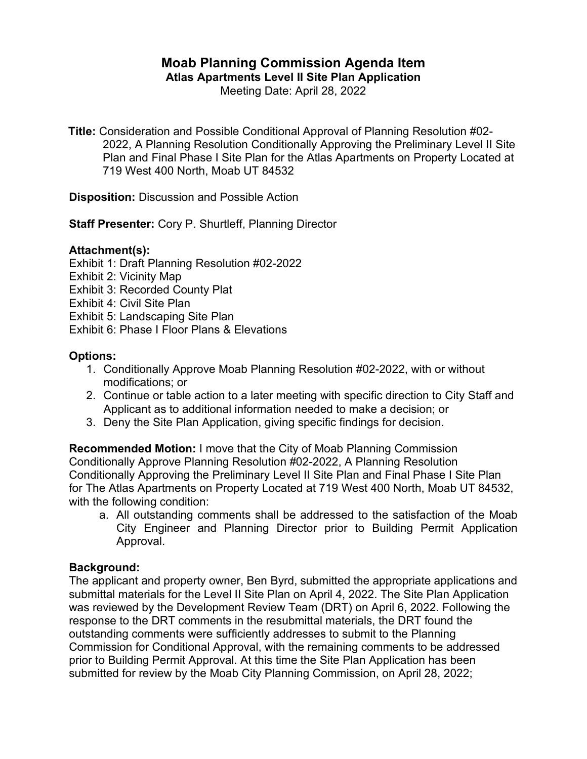# **Moab Planning Commission Agenda Item**

**Atlas Apartments Level II Site Plan Application**

Meeting Date: April 28, 2022

**Title:** Consideration and Possible Conditional Approval of Planning Resolution #02- 2022, A Planning Resolution Conditionally Approving the Preliminary Level II Site Plan and Final Phase I Site Plan for the Atlas Apartments on Property Located at 719 West 400 North, Moab UT 84532

**Disposition:** Discussion and Possible Action

**Staff Presenter:** Cory P. Shurtleff, Planning Director

## **Attachment(s):**

Exhibit 1: Draft Planning Resolution #02-2022

Exhibit 2: Vicinity Map

Exhibit 3: Recorded County Plat

Exhibit 4: Civil Site Plan

Exhibit 5: Landscaping Site Plan

Exhibit 6: Phase I Floor Plans & Elevations

## **Options:**

- 1. Conditionally Approve Moab Planning Resolution #02-2022, with or without modifications; or
- 2. Continue or table action to a later meeting with specific direction to City Staff and Applicant as to additional information needed to make a decision; or
- 3. Deny the Site Plan Application, giving specific findings for decision.

**Recommended Motion:** I move that the City of Moab Planning Commission Conditionally Approve Planning Resolution #02-2022, A Planning Resolution Conditionally Approving the Preliminary Level II Site Plan and Final Phase I Site Plan for The Atlas Apartments on Property Located at 719 West 400 North, Moab UT 84532, with the following condition:

a. All outstanding comments shall be addressed to the satisfaction of the Moab City Engineer and Planning Director prior to Building Permit Application Approval.

## **Background:**

The applicant and property owner, Ben Byrd, submitted the appropriate applications and submittal materials for the Level II Site Plan on April 4, 2022. The Site Plan Application was reviewed by the Development Review Team (DRT) on April 6, 2022. Following the response to the DRT comments in the resubmittal materials, the DRT found the outstanding comments were sufficiently addresses to submit to the Planning Commission for Conditional Approval, with the remaining comments to be addressed prior to Building Permit Approval. At this time the Site Plan Application has been submitted for review by the Moab City Planning Commission, on April 28, 2022;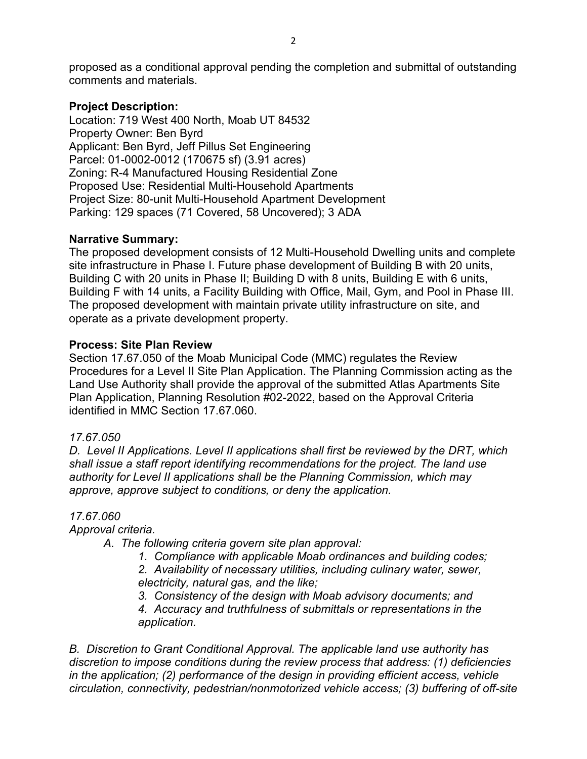proposed as a conditional approval pending the completion and submittal of outstanding comments and materials.

## **Project Description:**

Location: 719 West 400 North, Moab UT 84532 Property Owner: Ben Byrd Applicant: Ben Byrd, Jeff Pillus Set Engineering Parcel: 01-0002-0012 (170675 sf) (3.91 acres) Zoning: R-4 Manufactured Housing Residential Zone Proposed Use: Residential Multi-Household Apartments Project Size: 80-unit Multi-Household Apartment Development Parking: 129 spaces (71 Covered, 58 Uncovered); 3 ADA

## **Narrative Summary:**

The proposed development consists of 12 Multi-Household Dwelling units and complete site infrastructure in Phase I. Future phase development of Building B with 20 units, Building C with 20 units in Phase II; Building D with 8 units, Building E with 6 units, Building F with 14 units, a Facility Building with Office, Mail, Gym, and Pool in Phase III. The proposed development with maintain private utility infrastructure on site, and operate as a private development property.

# **Process: Site Plan Review**

Section 17.67.050 of the Moab Municipal Code (MMC) regulates the Review Procedures for a Level II Site Plan Application. The Planning Commission acting as the Land Use Authority shall provide the approval of the submitted Atlas Apartments Site Plan Application, Planning Resolution #02-2022, based on the Approval Criteria identified in MMC Section 17.67.060.

# *17.67.050*

*D. Level II Applications. Level II applications shall first be reviewed by the DRT, which shall issue a staff report identifying recommendations for the project. The land use authority for Level II applications shall be the Planning Commission, which may approve, approve subject to conditions, or deny the application.*

# *17.67.060*

*Approval criteria.*

*A. The following criteria govern site plan approval:*

*1. Compliance with applicable Moab ordinances and building codes; 2. Availability of necessary utilities, including culinary water, sewer, electricity, natural gas, and the like;*

*3. Consistency of the design with Moab advisory documents; and*

*4. Accuracy and truthfulness of submittals or representations in the application.*

*B. Discretion to Grant Conditional Approval. The applicable land use authority has discretion to impose conditions during the review process that address: (1) deficiencies in the application; (2) performance of the design in providing efficient access, vehicle circulation, connectivity, pedestrian/nonmotorized vehicle access; (3) buffering of off-site*